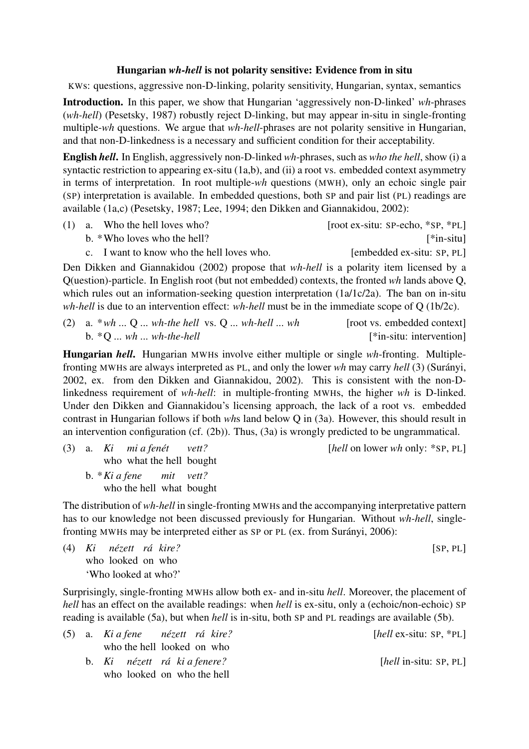## Hungarian *wh-hell* is not polarity sensitive: Evidence from in situ

KWs: questions, aggressive non-D-linking, polarity sensitivity, Hungarian, syntax, semantics

Introduction. In this paper, we show that Hungarian 'aggressively non-D-linked' *wh*-phrases (*wh-hell*) (Pesetsky, 1987) robustly reject D-linking, but may appear in-situ in single-fronting multiple-*wh* questions. We argue that *wh-hell*-phrases are not polarity sensitive in Hungarian, and that non-D-linkedness is a necessary and sufficient condition for their acceptability.

English *hell*. In English, aggressively non-D-linked *wh*-phrases, such as *who the hell*, show (i) a syntactic restriction to appearing ex-situ (1a,b), and (ii) a root vs. embedded context asymmetry in terms of interpretation. In root multiple-*wh* questions (MWH), only an echoic single pair (SP) interpretation is available. In embedded questions, both SP and pair list (PL) readings are available (1a,c) (Pesetsky, 1987; Lee, 1994; den Dikken and Giannakidou, 2002):

(1) a. Who the hell loves who? [root ex-situ: SP-echo, \*SP, \*PL] b. \*Who loves who the hell? [\*in-situ]

c. I want to know who the hell loves who. [embedded ex-situ: SP, PL]

Den Dikken and Giannakidou (2002) propose that *wh-hell* is a polarity item licensed by a Q(uestion)-particle. In English root (but not embedded) contexts, the fronted *wh* lands above Q, which rules out an information-seeking question interpretation (1a/1c/2a). The ban on in-situ *wh-hell* is due to an intervention effect: *wh-hell* must be in the immediate scope of Q (1b/2c).

(2) a. \**wh* ... Q ... *wh-the hell* vs. Q ... *wh-hell* ... *wh* [root vs. embedded context] b. \*Q ... *wh* ... *wh-the-hell* [\*in-situ: intervention]

Hungarian *hell*. Hungarian MWHs involve either multiple or single *wh*-fronting. Multiplefronting MWHs are always interpreted as PL, and only the lower *wh* may carry *hell* (3) (Surányi, 2002, ex. from den Dikken and Giannakidou, 2002). This is consistent with the non-Dlinkedness requirement of *wh-hell*: in multiple-fronting MWHs, the higher *wh* is D-linked. Under den Dikken and Giannakidou's licensing approach, the lack of a root vs. embedded contrast in Hungarian follows if both *wh*s land below Q in (3a). However, this should result in an intervention configuration (cf. (2b)). Thus, (3a) is wrongly predicted to be ungrammatical.

[*hell* on lower *wh* only: \*SP, PL] who what the hell bought *mi a fenét vett?* b. \**Ki a fene* who the hell what bought *mit vett?*

The distribution of *wh-hell* in single-fronting MWHs and the accompanying interpretative pattern has to our knowledge not been discussed previously for Hungarian. Without *wh-hell*, singlefronting MWHs may be interpreted either as SP or PL (ex. from Surányi, 2006):

(4) *Ki* [SP, PL] *nézett rá kire?* who looked on who 'Who looked at who?'

Surprisingly, single-fronting MWHs allow both ex- and in-situ *hell*. Moreover, the placement of *hell* has an effect on the available readings: when *hell* is ex-situ, only a (echoic/non-echoic) SP reading is available (5a), but when *hell* is in-situ, both SP and PL readings are available (5b).

| [hell ex-situ: $SP, *PL$ ]       | (5) a. Ki a fene nézett rá kire? |                            |  |  |
|----------------------------------|----------------------------------|----------------------------|--|--|
|                                  |                                  | who the hell looked on who |  |  |
| $[hell \text{ in-situ: SP, PL}]$ | b. Ki nézett rá kia fenere?      |                            |  |  |
|                                  | who looked on who the hell       |                            |  |  |